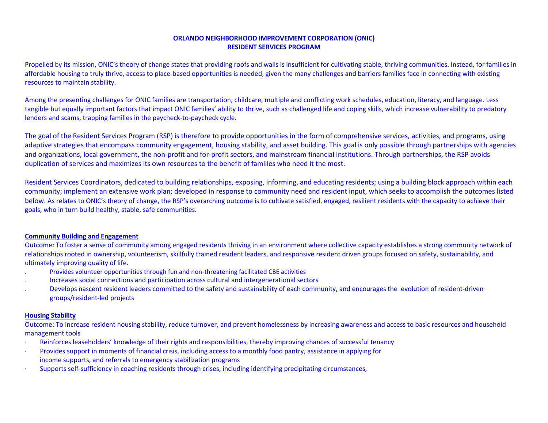### **ORLANDO NEIGHBORHOOD IMPROVEMENT CORPORATION (ONIC) RESIDENT SERVICES PROGRAM**

Propelled by its mission, ONIC's theory of change states that providing roofs and walls is insufficient for cultivating stable, thriving communities. Instead, for families in affordable housing to truly thrive, access to place-based opportunities is needed, given the many challenges and barriers families face in connecting with existing resources to maintain stability.

Among the presenting challenges for ONIC families are transportation, childcare, multiple and conflicting work schedules, education, literacy, and language. Less tangible but equally important factors that impact ONIC families' ability to thrive, such as challenged life and coping skills, which increase vulnerability to predatory lenders and scams, trapping families in the paycheck-to-paycheck cycle.

The goal of the Resident Services Program (RSP) is therefore to provide opportunities in the form of comprehensive services, activities, and programs, using adaptive strategies that encompass community engagement, housing stability, and asset building. This goal is only possible through partnerships with agencies and organizations, local government, the non-profit and for-profit sectors, and mainstream financial institutions. Through partnerships, the RSP avoids duplication of services and maximizes its own resources to the benefit of families who need it the most.

Resident Services Coordinators, dedicated to building relationships, exposing, informing, and educating residents; using a building block approach within each community; implement an extensive work plan; developed in response to community need and resident input, which seeks to accomplish the outcomes listed below. As relates to ONIC's theory of change, the RSP's overarching outcome is to cultivate satisfied, engaged, resilient residents with the capacity to achieve their goals, who in turn build healthy, stable, safe communities.

#### **Community Building and Engagement**

Outcome: To foster a sense of community among engaged residents thriving in an environment where collective capacity establishes a strong community network of relationships rooted in ownership, volunteerism, skillfully trained resident leaders, and responsive resident driven groups focused on safety, sustainability, and ultimately improving quality of life.

- . Provides volunteer opportunities through fun and non-threatening facilitated CBE activities
- . Increases social connections and participation across cultural and intergenerational sectors
- . Develops nascent resident leaders committed to the safety and sustainability of each community, and encourages the evolution of resident-driven groups/resident-led projects

#### **Housing Stability**

Outcome: To increase resident housing stability, reduce turnover, and prevent homelessness by increasing awareness and access to basic resources and household management tools

- Reinforces leaseholders' knowledge of their rights and responsibilities, thereby improving chances of successful tenancy
- · Provides support in moments of financial crisis, including access to a monthly food pantry, assistance in applying for income supports, and referrals to emergency stabilization programs
- · Supports self-sufficiency in coaching residents through crises, including identifying precipitating circumstances,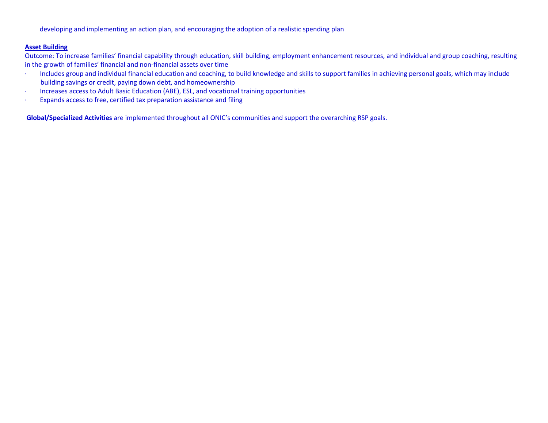developing and implementing an action plan, and encouraging the adoption of a realistic spending plan

#### **Asset Building**

Outcome: To increase families' financial capability through education, skill building, employment enhancement resources, and individual and group coaching, resulting in the growth of families' financial and non-financial assets over time

- · Includes group and individual financial education and coaching, to build knowledge and skills to support families in achieving personal goals, which may include building savings or credit, paying down debt, and homeownership
- · Increases access to Adult Basic Education (ABE), ESL, and vocational training opportunities
- · Expands access to free, certified tax preparation assistance and filing

**Global/Specialized Activities** are implemented throughout all ONIC's communities and support the overarching RSP goals.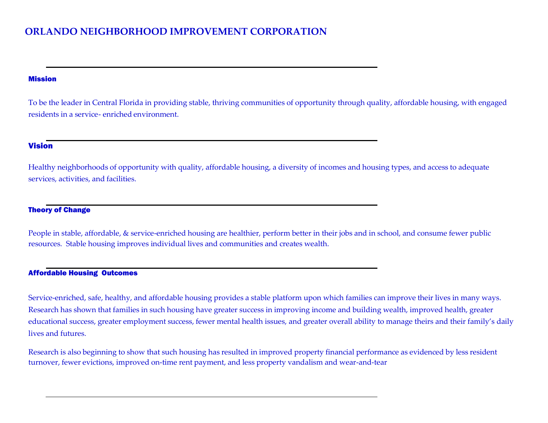# **ORLANDO NEIGHBORHOOD IMPROVEMENT CORPORATION**

### Mission

To be the leader in Central Florida in providing stable, thriving communities of opportunity through quality, affordable housing, with engaged residents in a service- enriched environment.

## Vision

Healthy neighborhoods of opportunity with quality, affordable housing, a diversity of incomes and housing types, and access to adequate services, activities, and facilities.

# Theory of Change

People in stable, affordable, & service-enriched housing are healthier, perform better in their jobs and in school, and consume fewer public resources. Stable housing improves individual lives and communities and creates wealth.

# Affordable Housing Outcomes

Service-enriched, safe, healthy, and affordable housing provides a stable platform upon which families can improve their lives in many ways. Research has shown that families in such housing have greater success in improving income and building wealth, improved health, greater educational success, greater employment success, fewer mental health issues, and greater overall ability to manage theirs and their family's daily lives and futures.

Research is also beginning to show that such housing has resulted in improved property financial performance as evidenced by less resident turnover, fewer evictions, improved on-time rent payment, and less property vandalism and wear-and-tear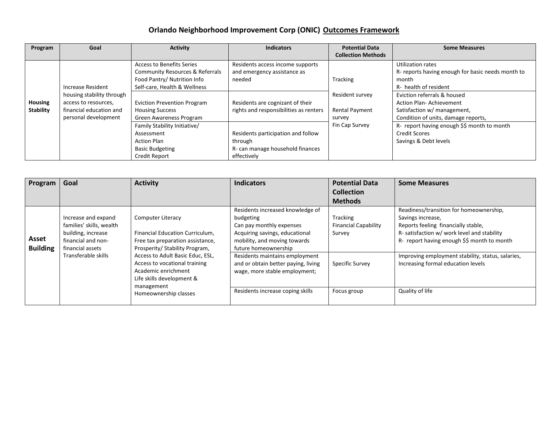# **Orlando Neighborhood Improvement Corp (ONIC) Outcomes Framework**

| Program                            | Goal                                                                                                                      | <b>Activity</b>                                                                                                                                                                                                                                                                                                             | <b>Indicators</b>                                                                                                                                                                                                                            | <b>Potential Data</b>                                                                   | <b>Some Measures</b>                                                                                                                                                                                                                                                                                                                            |
|------------------------------------|---------------------------------------------------------------------------------------------------------------------------|-----------------------------------------------------------------------------------------------------------------------------------------------------------------------------------------------------------------------------------------------------------------------------------------------------------------------------|----------------------------------------------------------------------------------------------------------------------------------------------------------------------------------------------------------------------------------------------|-----------------------------------------------------------------------------------------|-------------------------------------------------------------------------------------------------------------------------------------------------------------------------------------------------------------------------------------------------------------------------------------------------------------------------------------------------|
|                                    |                                                                                                                           |                                                                                                                                                                                                                                                                                                                             |                                                                                                                                                                                                                                              | <b>Collection Methods</b>                                                               |                                                                                                                                                                                                                                                                                                                                                 |
| <b>Housing</b><br><b>Stability</b> | Increase Resident<br>housing stability through<br>access to resources,<br>financial education and<br>personal development | <b>Access to Benefits Series</b><br>Community Resources & Referrals<br>Food Pantry/ Nutrition Info<br>Self-care, Health & Wellness<br><b>Eviction Prevention Program</b><br><b>Housing Success</b><br>Green Awareness Program<br>Family Stability Initiative/<br>Assessment<br><b>Action Plan</b><br><b>Basic Budgeting</b> | Residents access income supports<br>and emergency assistance as<br>needed<br>Residents are cognizant of their<br>rights and responsibilities as renters<br>Residents participation and follow<br>through<br>R- can manage household finances | <b>Tracking</b><br>Resident survey<br><b>Rental Payment</b><br>survey<br>Fin Cap Survey | Utilization rates<br>R- reports having enough for basic needs month to<br>month<br>R- health of resident<br>Eviction referrals & housed<br><b>Action Plan-Achievement</b><br>Satisfaction w/ management,<br>Condition of units, damage reports,<br>R- report having enough \$\$ month to month<br><b>Credit Scores</b><br>Savings & Debt levels |
|                                    |                                                                                                                           | Credit Report                                                                                                                                                                                                                                                                                                               | effectively                                                                                                                                                                                                                                  |                                                                                         |                                                                                                                                                                                                                                                                                                                                                 |

| Program                  | Goal                                                                                                                                   | <b>Activity</b>                                                                                                                                                                                                                                                                                   | <b>Indicators</b>                                                                                                                                                   | <b>Potential Data</b>                             | <b>Some Measures</b>                                                                                                                                                                              |
|--------------------------|----------------------------------------------------------------------------------------------------------------------------------------|---------------------------------------------------------------------------------------------------------------------------------------------------------------------------------------------------------------------------------------------------------------------------------------------------|---------------------------------------------------------------------------------------------------------------------------------------------------------------------|---------------------------------------------------|---------------------------------------------------------------------------------------------------------------------------------------------------------------------------------------------------|
|                          |                                                                                                                                        |                                                                                                                                                                                                                                                                                                   |                                                                                                                                                                     | <b>Collection</b>                                 |                                                                                                                                                                                                   |
|                          |                                                                                                                                        |                                                                                                                                                                                                                                                                                                   |                                                                                                                                                                     | <b>Methods</b>                                    |                                                                                                                                                                                                   |
| Asset<br><b>Building</b> | Increase and expand<br>families' skills, wealth<br>building, increase<br>financial and non-<br>financial assets<br>Transferable skills | <b>Computer Literacy</b><br>Financial Education Curriculum,<br>Free tax preparation assistance,<br>Prosperity/ Stability Program,<br>Access to Adult Basic Educ, ESL,<br>Access to vocational training<br>Academic enrichment<br>Life skills development &<br>management<br>Homeownership classes | Residents increased knowledge of<br>budgeting<br>Can pay monthly expenses<br>Acquiring savings, educational<br>mobility, and moving towards<br>future homeownership | Tracking<br><b>Financial Capability</b><br>Survey | Readiness/transition for homeownership.<br>Savings increase,<br>Reports feeling financially stable,<br>R- satisfaction w/ work level and stability<br>R- report having enough \$\$ month to month |
|                          |                                                                                                                                        |                                                                                                                                                                                                                                                                                                   | Residents maintains employment<br>and or obtain better paying, living<br>wage, more stable employment;<br>Residents increase coping skills                          | Specific Survey<br>Focus group                    | Improving employment stability, status, salaries,<br>Increasing formal education levels<br>Quality of life                                                                                        |
|                          |                                                                                                                                        |                                                                                                                                                                                                                                                                                                   |                                                                                                                                                                     |                                                   |                                                                                                                                                                                                   |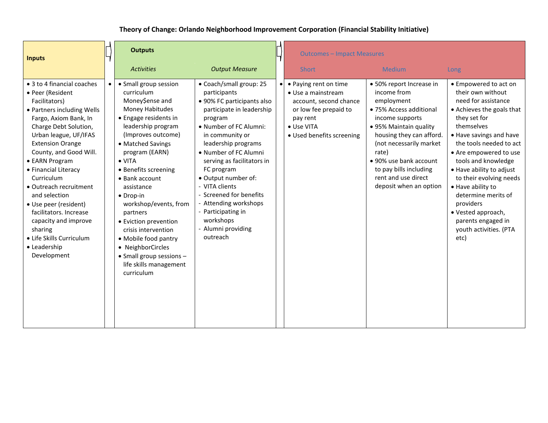# **Theory of Change: Orlando Neighborhood Improvement Corporation (Financial Stability Initiative)**

| <b>Inputs</b>                                                                                                                                                                                                                                                                                                                                                                                                                                                                     |  | <b>Outputs</b>                                                                                                                                                                                                                                                                                                                                                                                                                                                                                            |                                                                                                                                                                                                                                                                                                                                                                                                                          |           | <b>Outcomes - Impact Measures</b>                                                                                                                     |                                                                                                                                                                                                                                                                                                    |                                                                                                                                                                                                                                                                                                                                                                                                                                   |
|-----------------------------------------------------------------------------------------------------------------------------------------------------------------------------------------------------------------------------------------------------------------------------------------------------------------------------------------------------------------------------------------------------------------------------------------------------------------------------------|--|-----------------------------------------------------------------------------------------------------------------------------------------------------------------------------------------------------------------------------------------------------------------------------------------------------------------------------------------------------------------------------------------------------------------------------------------------------------------------------------------------------------|--------------------------------------------------------------------------------------------------------------------------------------------------------------------------------------------------------------------------------------------------------------------------------------------------------------------------------------------------------------------------------------------------------------------------|-----------|-------------------------------------------------------------------------------------------------------------------------------------------------------|----------------------------------------------------------------------------------------------------------------------------------------------------------------------------------------------------------------------------------------------------------------------------------------------------|-----------------------------------------------------------------------------------------------------------------------------------------------------------------------------------------------------------------------------------------------------------------------------------------------------------------------------------------------------------------------------------------------------------------------------------|
|                                                                                                                                                                                                                                                                                                                                                                                                                                                                                   |  | <b>Activities</b>                                                                                                                                                                                                                                                                                                                                                                                                                                                                                         | <b>Output Measure</b>                                                                                                                                                                                                                                                                                                                                                                                                    |           | <b>Short</b>                                                                                                                                          | <b>Medium</b>                                                                                                                                                                                                                                                                                      | Long                                                                                                                                                                                                                                                                                                                                                                                                                              |
| • 3 to 4 financial coaches<br>• Peer (Resident<br>Facilitators)<br>• Partners including Wells<br>Fargo, Axiom Bank, In<br>Charge Debt Solution,<br>Urban league, UF/IFAS<br><b>Extension Orange</b><br>County, and Good Will.<br>• EARN Program<br>• Financial Literacy<br>Curriculum<br>• Outreach recruitment<br>and selection<br>• Use peer (resident)<br>facilitators. Increase<br>capacity and improve<br>sharing<br>• Life Skills Curriculum<br>• Leadership<br>Development |  | • Small group session<br>curriculum<br>Money\$ense and<br><b>Money Habitudes</b><br>• Engage residents in<br>leadership program<br>(Improves outcome)<br>• Matched Savings<br>program (EARN)<br>$\bullet$ VITA<br>• Benefits screening<br>$\bullet$ Bank account<br>assistance<br>$\bullet$ Drop-in<br>workshop/events, from<br>partners<br>• Eviction prevention<br>crisis intervention<br>• Mobile food pantry<br>• NeighborCircles<br>• Small group sessions -<br>life skills management<br>curriculum | • Coach/small group: 25<br>participants<br>• 90% FC participants also<br>participate in leadership<br>program<br>• Number of FC Alumni:<br>in community or<br>leadership programs<br>• Number of FC Alumni<br>serving as facilitators in<br>FC program<br>• Output number of:<br>- VITA clients<br>- Screened for benefits<br>- Attending workshops<br>- Participating in<br>workshops<br>- Alumni providing<br>outreach | $\bullet$ | • Paying rent on time<br>• Use a mainstream<br>account, second chance<br>or low fee prepaid to<br>pay rent<br>• Use VITA<br>· Used benefits screening | • 50% report Increase in<br>income from<br>employment<br>• 75% Access additional<br>income supports<br>• 95% Maintain quality<br>housing they can afford.<br>(not necessarily market<br>rate)<br>• 90% use bank account<br>to pay bills including<br>rent and use direct<br>deposit when an option | • Empowered to act on<br>their own without<br>need for assistance<br>• Achieves the goals that<br>they set for<br>themselves<br>• Have savings and have<br>the tools needed to act<br>• Are empowered to use<br>tools and knowledge<br>• Have ability to adjust<br>to their evolving needs<br>• Have ability to<br>determine merits of<br>providers<br>• Vested approach,<br>parents engaged in<br>youth activities. (PTA<br>etc) |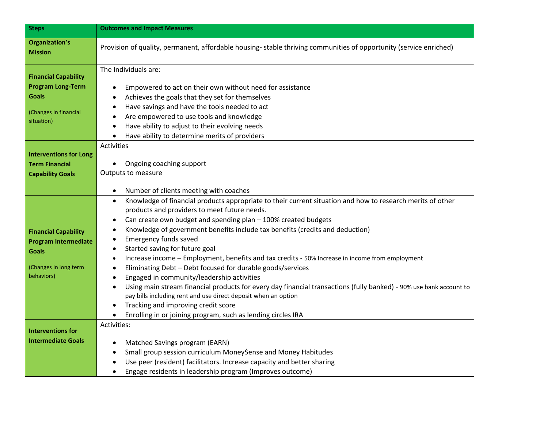| <b>Steps</b>                                                                                                      | <b>Outcomes and Impact Measures</b>                                                                                                                                                                                                                                                                                                                                                                                                                                                                                                                                                                                                                                                                                                                                                                                                                                                                                                                                                                                                                               |  |  |  |
|-------------------------------------------------------------------------------------------------------------------|-------------------------------------------------------------------------------------------------------------------------------------------------------------------------------------------------------------------------------------------------------------------------------------------------------------------------------------------------------------------------------------------------------------------------------------------------------------------------------------------------------------------------------------------------------------------------------------------------------------------------------------------------------------------------------------------------------------------------------------------------------------------------------------------------------------------------------------------------------------------------------------------------------------------------------------------------------------------------------------------------------------------------------------------------------------------|--|--|--|
| <b>Organization's</b><br><b>Mission</b>                                                                           | Provision of quality, permanent, affordable housing-stable thriving communities of opportunity (service enriched)                                                                                                                                                                                                                                                                                                                                                                                                                                                                                                                                                                                                                                                                                                                                                                                                                                                                                                                                                 |  |  |  |
| <b>Financial Capability</b><br><b>Program Long-Term</b><br><b>Goals</b><br>(Changes in financial<br>situation)    | The Individuals are:<br>Empowered to act on their own without need for assistance<br>$\bullet$<br>Achieves the goals that they set for themselves<br>$\bullet$<br>Have savings and have the tools needed to act<br>Are empowered to use tools and knowledge<br>٠<br>Have ability to adjust to their evolving needs<br>$\bullet$<br>Have ability to determine merits of providers<br>$\bullet$                                                                                                                                                                                                                                                                                                                                                                                                                                                                                                                                                                                                                                                                     |  |  |  |
| <b>Interventions for Long</b><br><b>Term Financial</b><br><b>Capability Goals</b>                                 | Activities<br>Ongoing coaching support<br>$\bullet$<br>Outputs to measure                                                                                                                                                                                                                                                                                                                                                                                                                                                                                                                                                                                                                                                                                                                                                                                                                                                                                                                                                                                         |  |  |  |
| <b>Financial Capability</b><br><b>Program Intermediate</b><br><b>Goals</b><br>(Changes in long term<br>behaviors) | Number of clients meeting with coaches<br>$\bullet$<br>Knowledge of financial products appropriate to their current situation and how to research merits of other<br>$\bullet$<br>products and providers to meet future needs.<br>Can create own budget and spending plan - 100% created budgets<br>٠<br>Knowledge of government benefits include tax benefits (credits and deduction)<br>$\bullet$<br><b>Emergency funds saved</b><br>$\bullet$<br>Started saving for future goal<br>$\bullet$<br>Increase income - Employment, benefits and tax credits - 50% Increase in income from employment<br>$\bullet$<br>Eliminating Debt - Debt focused for durable goods/services<br>$\bullet$<br>Engaged in community/leadership activities<br>$\bullet$<br>Using main stream financial products for every day financial transactions (fully banked) - 90% use bank account to<br>$\bullet$<br>pay bills including rent and use direct deposit when an option<br>Tracking and improving credit score<br>Enrolling in or joining program, such as lending circles IRA |  |  |  |
| <b>Interventions for</b><br><b>Intermediate Goals</b>                                                             | Activities:<br>Matched Savings program (EARN)<br>$\bullet$<br>Small group session curriculum Money\$ense and Money Habitudes<br>$\bullet$<br>Use peer (resident) facilitators. Increase capacity and better sharing<br>Engage residents in leadership program (Improves outcome)                                                                                                                                                                                                                                                                                                                                                                                                                                                                                                                                                                                                                                                                                                                                                                                  |  |  |  |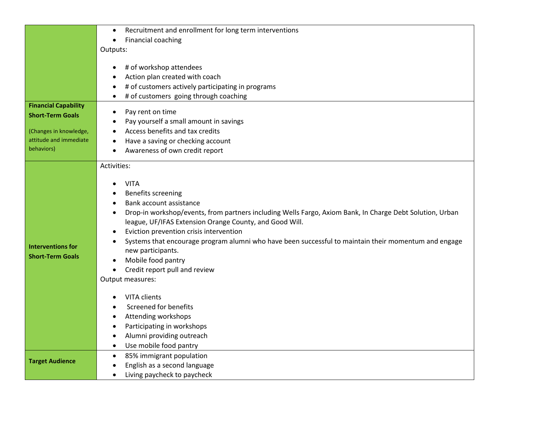|                                                                                                                          | Recruitment and enrollment for long term interventions<br>$\bullet$                                                                                                                                                                                                                                                                                                                                                                                                                                                     |
|--------------------------------------------------------------------------------------------------------------------------|-------------------------------------------------------------------------------------------------------------------------------------------------------------------------------------------------------------------------------------------------------------------------------------------------------------------------------------------------------------------------------------------------------------------------------------------------------------------------------------------------------------------------|
|                                                                                                                          | Financial coaching<br>$\bullet$                                                                                                                                                                                                                                                                                                                                                                                                                                                                                         |
|                                                                                                                          | Outputs:                                                                                                                                                                                                                                                                                                                                                                                                                                                                                                                |
|                                                                                                                          | # of workshop attendees<br>Action plan created with coach<br># of customers actively participating in programs                                                                                                                                                                                                                                                                                                                                                                                                          |
|                                                                                                                          | # of customers going through coaching                                                                                                                                                                                                                                                                                                                                                                                                                                                                                   |
| <b>Financial Capability</b><br><b>Short-Term Goals</b><br>(Changes in knowledge,<br>attitude and immediate<br>behaviors) | Pay rent on time<br>$\bullet$<br>Pay yourself a small amount in savings<br>Access benefits and tax credits<br>Have a saving or checking account<br>Awareness of own credit report                                                                                                                                                                                                                                                                                                                                       |
|                                                                                                                          | Activities:                                                                                                                                                                                                                                                                                                                                                                                                                                                                                                             |
| <b>Interventions for</b><br><b>Short-Term Goals</b>                                                                      | <b>VITA</b><br><b>Benefits screening</b><br>Bank account assistance<br>Drop-in workshop/events, from partners including Wells Fargo, Axiom Bank, In Charge Debt Solution, Urban<br>$\bullet$<br>league, UF/IFAS Extension Orange County, and Good Will.<br>Eviction prevention crisis intervention<br>Systems that encourage program alumni who have been successful to maintain their momentum and engage<br>new participants.<br>Mobile food pantry<br>Credit report pull and review<br>$\bullet$<br>Output measures: |
|                                                                                                                          | VITA clients<br><b>Screened for benefits</b><br>Attending workshops<br>Participating in workshops<br>Alumni providing outreach<br>Use mobile food pantry<br>$\bullet$                                                                                                                                                                                                                                                                                                                                                   |
| <b>Target Audience</b>                                                                                                   | 85% immigrant population<br>$\bullet$<br>English as a second language<br>Living paycheck to paycheck                                                                                                                                                                                                                                                                                                                                                                                                                    |